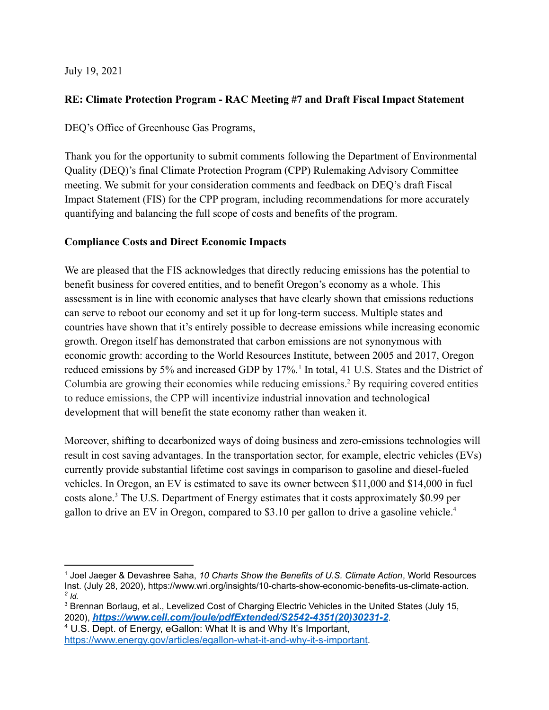July 19, 2021

## **RE: Climate Protection Program - RAC Meeting #7 and Draft Fiscal Impact Statement**

DEQ's Office of Greenhouse Gas Programs,

Thank you for the opportunity to submit comments following the Department of Environmental Quality (DEQ)'s final Climate Protection Program (CPP) Rulemaking Advisory Committee meeting. We submit for your consideration comments and feedback on DEQ's draft Fiscal Impact Statement (FIS) for the CPP program, including recommendations for more accurately quantifying and balancing the full scope of costs and benefits of the program.

## **Compliance Costs and Direct Economic Impacts**

We are pleased that the FIS acknowledges that directly reducing emissions has the potential to benefit business for covered entities, and to benefit Oregon's economy as a whole. This assessment is in line with economic analyses that have clearly shown that emissions reductions can serve to reboot our economy and set it up for long-term success. Multiple states and countries have shown that it's entirely possible to decrease emissions while increasing economic growth. Oregon itself has demonstrated that carbon emissions are not synonymous with economic growth: according to the World Resources Institute, between 2005 and 2017, Oregon reduced emissions by 5% and increased GDP by 17%.<sup>1</sup> In total, 41 U.S. States and the District of Columbia are growing their economies while reducing emissions.<sup>2</sup> By requiring covered entities to reduce emissions, the CPP will incentivize industrial innovation and technological development that will benefit the state economy rather than weaken it.

Moreover, shifting to decarbonized ways of doing business and zero-emissions technologies will result in cost saving advantages. In the transportation sector, for example, electric vehicles (EVs) currently provide substantial lifetime cost savings in comparison to gasoline and diesel-fueled vehicles. In Oregon, an EV is estimated to save its owner between \$11,000 and \$14,000 in fuel costs alone.<sup>3</sup> The U.S. Department of Energy estimates that it costs approximately \$0.99 per gallon to drive an EV in Oregon, compared to \$3.10 per gallon to drive a gasoline vehicle.<sup>4</sup>

*<sup>2</sup> Id.* <sup>1</sup> Joel Jaeger & Devashree Saha, *10 Charts Show the Benefits of U.S. Climate Action*, World Resources Inst. (July 28, 2020), https://www.wri.org/insights/10-charts-show-economic-benefits-us-climate-action.

<sup>&</sup>lt;sup>3</sup> Brennan Borlaug, et al., Levelized Cost of Charging Electric Vehicles in the United States (July 15, 2020), *[https://www.cell.com/joule/pdfExtended/S2542-4351\(20\)30231-2](https://www.cell.com/joule/pdfExtended/S2542-4351(20)30231-2)*.

<sup>4</sup> U.S. Dept. of Energy, eGallon: What It is and Why It's Important, <https://www.energy.gov/articles/egallon-what-it-and-why-it-s-important>.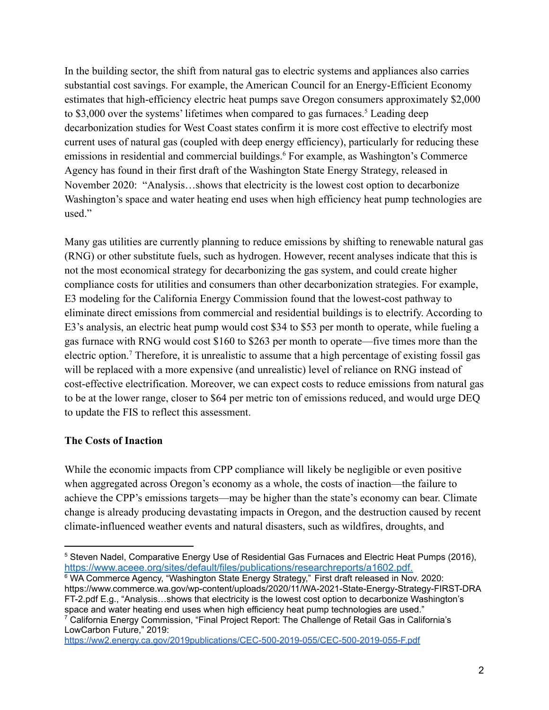In the building sector, the shift from natural gas to electric systems and appliances also carries substantial cost savings. For example, the American Council for an Energy-Efficient Economy estimates that high-efficiency electric heat pumps save Oregon consumers approximately \$2,000 to \$3,000 over the systems' lifetimes when compared to gas furnaces.<sup>5</sup> Leading deep decarbonization studies for West Coast states confirm it is more cost effective to electrify most current uses of natural gas (coupled with deep energy efficiency), particularly for reducing these emissions in residential and commercial buildings.<sup>6</sup> For example, as Washington's Commerce Agency has found in their first draft of the Washington State Energy Strategy, released in November 2020: "Analysis…shows that electricity is the lowest cost option to decarbonize Washington's space and water heating end uses when high efficiency heat pump technologies are used."

Many gas utilities are currently planning to reduce emissions by shifting to renewable natural gas (RNG) or other substitute fuels, such as hydrogen. However, recent analyses indicate that this is not the most economical strategy for decarbonizing the gas system, and could create higher compliance costs for utilities and consumers than other decarbonization strategies. For example, E3 modeling for the California Energy Commission found that the lowest-cost pathway to eliminate direct emissions from commercial and residential buildings is to electrify. According to E3's analysis, an electric heat pump would cost \$34 to \$53 per month to operate, while fueling a gas furnace with RNG would cost \$160 to \$263 per month to operate—five times more than the electric option.<sup>7</sup> Therefore, it is unrealistic to assume that a high percentage of existing fossil gas will be replaced with a more expensive (and unrealistic) level of reliance on RNG instead of cost-effective electrification. Moreover, we can expect costs to reduce emissions from natural gas to be at the lower range, closer to \$64 per metric ton of emissions reduced, and would urge DEQ to update the FIS to reflect this assessment.

## **The Costs of Inaction**

While the economic impacts from CPP compliance will likely be negligible or even positive when aggregated across Oregon's economy as a whole, the costs of inaction—the failure to achieve the CPP's emissions targets—may be higher than the state's economy can bear. Climate change is already producing devastating impacts in Oregon, and the destruction caused by recent climate-influenced weather events and natural disasters, such as wildfires, droughts, and

<sup>7</sup> California Energy Commission, "Final Project Report: The Challenge of Retail Gas in California's LowCarbon Future," 2019: <sup>6</sup> WA Commerce Agency, "Washington State Energy Strategy," First draft released in Nov. 2020: https://www.commerce.wa.gov/wp-content/uploads/2020/11/WA-2021-State-Energy-Strategy-FIRST-DRA FT-2.pdf E.g., "Analysis…shows that electricity is the lowest cost option to decarbonize Washington's space and water heating end uses when high efficiency heat pump technologies are used."

<https://ww2.energy.ca.gov/2019publications/CEC-500-2019-055/CEC-500-2019-055-F.pdf>

<sup>5</sup> Steven Nadel, Comparative Energy Use of Residential Gas Furnaces and Electric Heat Pumps (2016), [https://www.aceee.org/sites/default/files/publications/researchreports/a1602.pdf.](https://www.aceee.org/sites/default/files/publications/researchreports/a1602.pdf)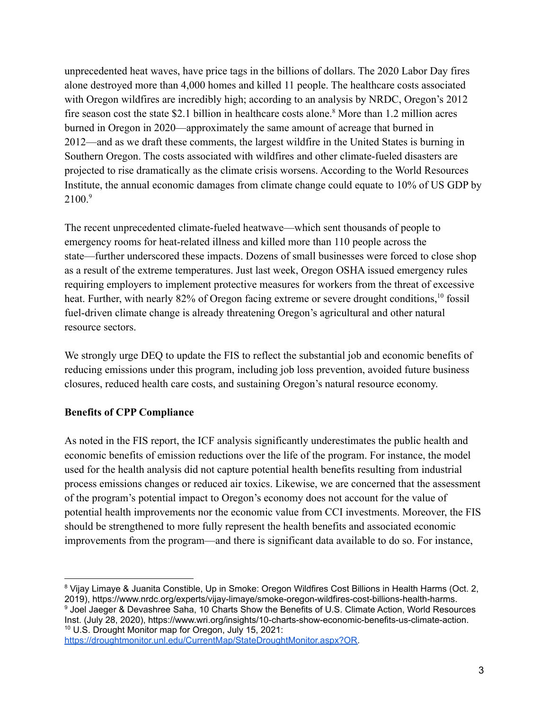unprecedented heat waves, have price tags in the billions of dollars. The 2020 Labor Day fires alone destroyed more than 4,000 homes and killed 11 people. The healthcare costs associated with Oregon wildfires are incredibly high; according to an analysis by NRDC, Oregon's 2012 fire season cost the state \$2.1 billion in healthcare costs alone.<sup>8</sup> More than 1.2 million acres burned in Oregon in 2020—approximately the same amount of acreage that burned in 2012—and as we draft these comments, the largest wildfire in the United States is burning in Southern Oregon. The costs associated with wildfires and other climate-fueled disasters are projected to rise dramatically as the climate crisis worsens. According to the World Resources Institute, the annual economic damages from climate change could equate to 10% of US GDP by  $2100<sup>9</sup>$ 

The recent unprecedented climate-fueled heatwave—which sent thousands of people to emergency rooms for heat-related illness and killed more than 110 people across the state—further underscored these impacts. Dozens of small businesses were forced to close shop as a result of the extreme temperatures. Just last week, Oregon OSHA issued emergency rules requiring employers to implement protective measures for workers from the threat of excessive heat. Further, with nearly 82% of Oregon facing extreme or severe drought conditions,<sup>10</sup> fossil fuel-driven climate change is already threatening Oregon's agricultural and other natural resource sectors.

We strongly urge DEQ to update the FIS to reflect the substantial job and economic benefits of reducing emissions under this program, including job loss prevention, avoided future business closures, reduced health care costs, and sustaining Oregon's natural resource economy.

## **Benefits of CPP Compliance**

As noted in the FIS report, the ICF analysis significantly underestimates the public health and economic benefits of emission reductions over the life of the program. For instance, the model used for the health analysis did not capture potential health benefits resulting from industrial process emissions changes or reduced air toxics. Likewise, we are concerned that the assessment of the program's potential impact to Oregon's economy does not account for the value of potential health improvements nor the economic value from CCI investments. Moreover, the FIS should be strengthened to more fully represent the health benefits and associated economic improvements from the program—and there is significant data available to do so. For instance,

<sup>10</sup> U.S. Drought Monitor map for Oregon, July 15, 2021: <sup>9</sup> Joel Jaeger & Devashree Saha, 10 Charts Show the Benefits of U.S. Climate Action, World Resources Inst. (July 28, 2020), https://www.wri.org/insights/10-charts-show-economic-benefits-us-climate-action. <sup>8</sup> Vijay Limaye & Juanita Constible, Up in Smoke: Oregon Wildfires Cost Billions in Health Harms (Oct. 2, 2019), https://www.nrdc.org/experts/vijay-limaye/smoke-oregon-wildfires-cost-billions-health-harms.

[https://droughtmonitor.unl.edu/CurrentMap/StateDroughtMonitor.aspx?OR.](https://droughtmonitor.unl.edu/CurrentMap/StateDroughtMonitor.aspx?OR)